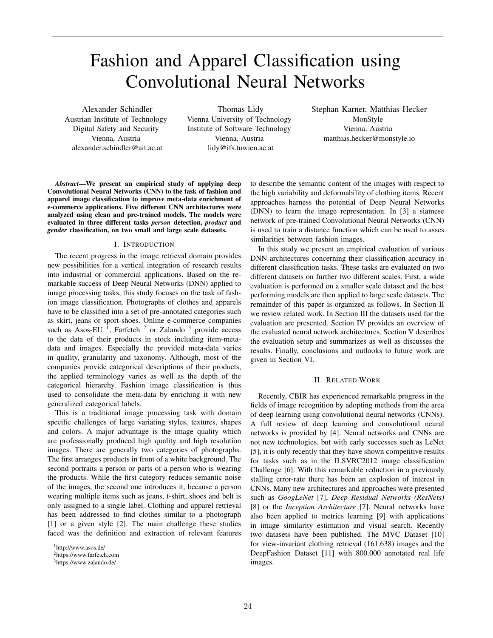# Fashion and Apparel Classification using Convolutional Neural Networks

Alexander Schindler Austrian Institute of Technology Digital Safety and Security Vienna, Austria alexander.schindler@ait.ac.at

Thomas Lidy Vienna University of Technology Institute of Software Technology Vienna, Austria lidy@ifs.tuwien.ac.at

Stephan Karner, Matthias Hecker MonStyle Vienna, Austria matthias.hecker@monstyle.io

*Abstract*—We present an empirical study of applying deep Convolutional Neural Networks (CNN) to the task of fashion and apparel image classification to improve meta-data enrichment of e-commerce applications. Five different CNN architectures were analyzed using clean and pre-trained models. The models were evaluated in three different tasks *person* detection, *product* and *gender* classification, on two small and large scale datasets.

# I. INTRODUCTION

The recent progress in the image retrieval domain provides new possibilities for a vertical integration of research results into industrial or commercial applications. Based on the remarkable success of Deep Neural Networks (DNN) applied to image processing tasks, this study focuses on the task of fashion image classification. Photographs of clothes and apparels have to be classified into a set of pre-annotated categories such as skirt, jeans or sport-shoes. Online e-commerce companies such as Asos-EU<sup>1</sup>, Farfetch<sup>2</sup> or Zalando<sup>3</sup> provide access to the data of their products in stock including item-metadata and images. Especially the provided meta-data varies in quality, granularity and taxonomy. Although, most of the companies provide categorical descriptions of their products, the applied terminology varies as well as the depth of the categorical hierarchy. Fashion image classification is thus used to consolidate the meta-data by enriching it with new generalized categorical labels.

This is a traditional image processing task with domain specific challenges of large variating styles, textures, shapes and colors. A major advantage is the image quality which are professionally produced high quality and high resolution images. There are generally two categories of photographs. The first arranges products in front of a white background. The second portraits a person or parts of a person who is wearing the products. While the first category reduces semantic noise of the images, the second one introduces it, because a person wearing multiple items such as jeans, t-shirt, shoes and belt is only assigned to a single label. Clothing and apparel retrieval has been addressed to find clothes similar to a photograph [1] or a given style [2]. The main challenge these studies faced was the definition and extraction of relevant features

<sup>1</sup>http://www.asos.de/

to describe the semantic content of the images with respect to the high variability and deformability of clothing items. Recent approaches harness the potential of Deep Neural Networks (DNN) to learn the image representation. In [3] a siamese network of pre-trained Convolutional Neural Networks (CNN) is used to train a distance function which can be used to asses similarities between fashion images.

In this study we present an empirical evaluation of various DNN architectures concerning their classification accuracy in different classification tasks. These tasks are evaluated on two different datasets on further two different scales. First, a wide evaluation is performed on a smaller scale dataset and the best performing models are then applied to large scale datasets. The remainder of this paper is organized as follows. In Section II we review related work. In Section III the datasets used for the evaluation are presented. Section IV provides an overview of the evaluated neural network architectures. Section V describes the evaluation setup and summarizes as well as discusses the results. Finally, conclusions and outlooks to future work are given in Section VI.

## II. RELATED WORK

Recently, CBIR has experienced remarkable progress in the fields of image recognition by adopting methods from the area of deep learning using convolutional neural networks (CNNs). A full review of deep learning and convolutional neural networks is provided by [4]. Neural networks and CNNs are not new technologies, but with early successes such as LeNet [5], it is only recently that they have shown competitive results for tasks such as in the ILSVRC2012 image classification Challenge [6]. With this remarkable reduction in a previously stalling error-rate there has been an explosion of interest in CNNs. Many new architectures and approaches were presented such as *GoogLeNet* [7], *Deep Residual Networks (ResNets)* [8] or the *Inception Architecture* [7]. Neural networks have also been applied to metrics learning [9] with applications in image similarity estimation and visual search. Recently two datasets have been published. The MVC Dataset [10] for view-invariant clothing retrieval (161.638) images and the DeepFashion Dataset [11] with 800.000 annotated real life images.

<sup>2</sup>https://www.farfetch.com

<sup>3</sup>https://www.zalando.de/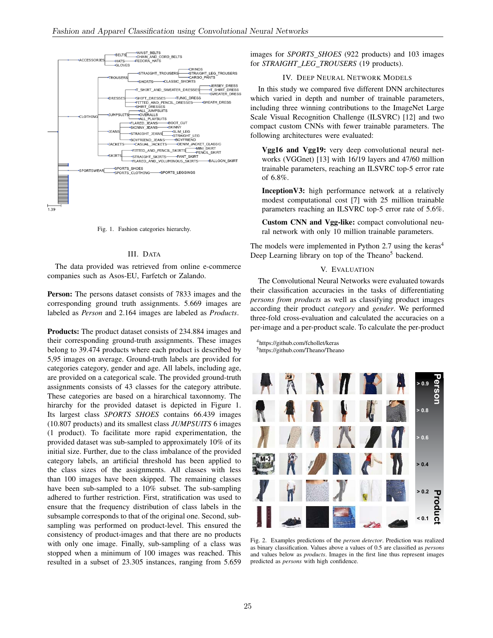

Fig. 1. Fashion categories hierarchy.

### III. DATA

The data provided was retrieved from online e-commerce companies such as Asos-EU, Farfetch or Zalando.

Person: The persons dataset consists of 7833 images and the corresponding ground truth assignments. 5.669 images are labeled as *Person* and 2.164 images are labeled as *Products*.

Products: The product dataset consists of 234.884 images and their corresponding ground-truth assignments. These images belong to 39.474 products where each product is described by 5,95 images on average. Ground-truth labels are provided for categories category, gender and age. All labels, including age, are provided on a categorical scale. The provided ground-truth assignments consists of 43 classes for the category attribute. These categories are based on a hirarchical taxonnomy. The hirarchy for the provided dataset is depicted in Figure 1. Its largest class *SPORTS SHOES* contains 66.439 images (10.807 products) and its smallest class *JUMPSUITS* 6 images (1 product). To facilitate more rapid experimentation, the provided dataset was sub-sampled to approximately 10% of its initial size. Further, due to the class imbalance of the provided category labels, an artificial threshold has been applied to the class sizes of the assignments. All classes with less than 100 images have been skipped. The remaining classes have been sub-sampled to a 10% subset. The sub-sampling adhered to further restriction. First, stratification was used to ensure that the frequency distribution of class labels in the subsample corresponds to that of the original one. Second, subsampling was performed on product-level. This ensured the consistency of product-images and that there are no products with only one image. Finally, sub-sampling of a class was stopped when a minimum of 100 images was reached. This resulted in a subset of 23.305 instances, ranging from 5.659 images for *SPORTS SHOES* (922 products) and 103 images for *STRAIGHT LEG TROUSERS* (19 products).

#### IV. DEEP NEURAL NETWORK MODELS

In this study we compared five different DNN architectures which varied in depth and number of trainable parameters, including three winning contributions to the ImageNet Large Scale Visual Recognition Challenge (ILSVRC) [12] and two compact custom CNNs with fewer trainable parameters. The following architectures were evaluated:

Vgg16 and Vgg19: very deep convolutional neural networks (VGGnet) [13] with 16/19 layers and 47/60 million trainable parameters, reaching an ILSVRC top-5 error rate of 6.8%.

InceptionV3: high performance network at a relatively modest computational cost [7] with 25 million trainable parameters reaching an ILSVRC top-5 error rate of 5.6%.

Custom CNN and Vgg-like: compact convolutional neural network with only 10 million trainable parameters.

The models were implemented in Python 2.7 using the keras<sup>4</sup> Deep Learning library on top of the Theano<sup>5</sup> backend.

# V. EVALUATION

The Convolutional Neural Networks were evaluated towards their classification accuracies in the tasks of differentiating *persons from products* as well as classifying product images according their product *category* and *gender*. We performed three-fold cross-evaluation and calculated the accuracies on a per-image and a per-product scale. To calculate the per-product

<sup>4</sup>https://github.com/fchollet/keras <sup>5</sup>https://github.com/Theano/Theano



Fig. 2. Examples predictions of the *person detector*. Prediction was realized as binary classification. Values above a values of 0.5 are classified as *persons* and values below as *products*. Images in the first line thus represent images predicted as *persons* with high confidence.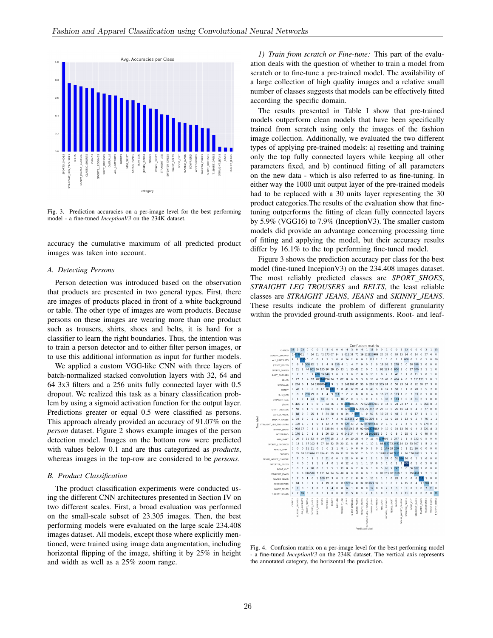

Fig. 3. Prediction accuracies on a per-image level for the best performing model - a fine-tuned *InceptionV3* on the 234K dataset.

accuracy the cumulative maximum of all predicted product images was taken into account.

## *A. Detecting Persons*

Person detection was introduced based on the observation that products are presented in two general types. First, there are images of products placed in front of a white background or table. The other type of images are worn products. Because persons on these images are wearing more than one product such as trousers, shirts, shoes and belts, it is hard for a classifier to learn the right boundaries. Thus, the intention was to train a person detector and to either filter person images, or to use this additional information as input for further models.

We applied a custom VGG-like CNN with three layers of batch-normalized stacked convolution layers with 32, 64 and 64 3x3 filters and a 256 units fully connected layer with 0.5 dropout. We realized this task as a binary classification problem by using a sigmoid activation function for the output layer. Predictions greater or equal 0.5 were classified as persons. This approach already provided an accuracy of 91.07% on the *person* dataset. Figure 2 shows example images of the person detection model. Images on the bottom row were predicted with values below 0.1 and are thus categorized as *products*, whereas images in the top-row are considered to be *persons*.

#### *B. Product Classification*

The product classification experiments were conducted using the different CNN architectures presented in Section IV on two different scales. First, a broad evaluation was performed on the small-scale subset of 23.305 images. Then, the best performing models were evaluated on the large scale 234.408 images dataset. All models, except those where explicitly mentioned, were trained using image data augmentation, including horizontal flipping of the image, shifting it by 25% in height and width as well as a 25% zoom range.

*1) Train from scratch or Fine-tune:* This part of the evaluation deals with the question of whether to train a model from scratch or to fine-tune a pre-trained model. The availability of a large collection of high quality images and a relative small number of classes suggests that models can be effectively fitted according the specific domain.

The results presented in Table I show that pre-trained models outperform clean models that have been specifically trained from scratch using only the images of the fashion image collection. Additionally, we evaluated the two different types of applying pre-trained models: a) resetting and training only the top fully connected layers while keeping all other parameters fixed, and b) continued fitting of all parameters on the new data - which is also referred to as fine-tuning. In either way the 1000 unit output layer of the pre-trained models had to be replaced with a 30 units layer representing the 30 product categories.The results of the evaluation show that finetuning outperforms the fitting of clean fully connected layers by 5.9% (VGG16) to 7.9% (InceptionV3). The smaller custom models did provide an advantage concerning processing time of fitting and applying the model, but their accuracy results differ by 16.1% to the top performing fine-tuned model.

Figure 3 shows the prediction accuracy per class for the best model (fine-tuned IncepionV3) on the 234.408 images dataset. The most reliably predicted classes are *SPORT SHOES*, *STRAIGHT LEG TROUSERS* and *BELTS*, the least reliable classes are *STRAIGHT JEANS*, *JEANS* and *SKINNY JEANS*. These results indicate the problem of different granularity within the provided ground-truth assignments. Root- and leaf-



Fig. 4. Confusion matrix on a per-image level for the best performing model - a fine-tuned *InceptionV3* on the 234K dataset. The vertical axis represents the annotated category, the horizontal the prediction.